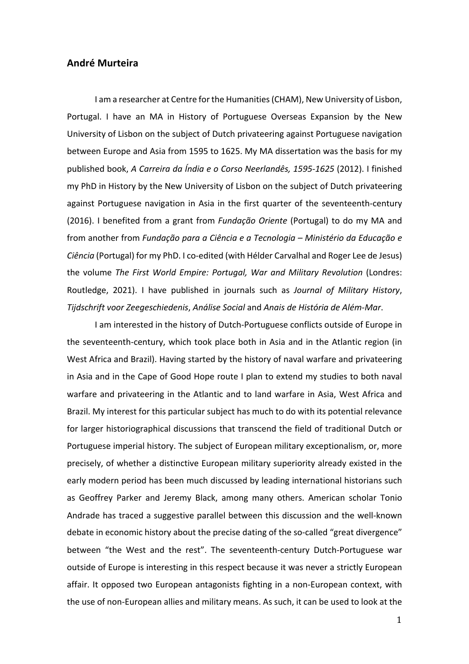# **André Murteira**

I am a researcher at Centre for the Humanities (CHAM), New University of Lisbon, Portugal. I have an MA in History of Portuguese Overseas Expansion by the New University of Lisbon on the subject of Dutch privateering against Portuguese navigation between Europe and Asia from 1595 to 1625. My MA dissertation was the basis for my published book, *A Carreira da Índia e o Corso Neerlandês, 1595-1625* (2012). I finished my PhD in History by the New University of Lisbon on the subject of Dutch privateering against Portuguese navigation in Asia in the first quarter of the seventeenth-century (2016). I benefited from a grant from *Fundação Oriente* (Portugal) to do my MA and from another from *Fundação para a Ciência e a Tecnologia – Ministério da Educação e Ciência* (Portugal) for my PhD. I co-edited (with Hélder Carvalhal and Roger Lee de Jesus) the volume *The First World Empire: Portugal, War and Military Revolution* (Londres: Routledge, 2021). I have published in journals such as *Journal of Military History*, *Tijdschrift voor Zeegeschiedenis*, *Análise Social* and *Anais de História de Além-Mar*.

I am interested in the history of Dutch-Portuguese conflicts outside of Europe in the seventeenth-century, which took place both in Asia and in the Atlantic region (in West Africa and Brazil). Having started by the history of naval warfare and privateering in Asia and in the Cape of Good Hope route I plan to extend my studies to both naval warfare and privateering in the Atlantic and to land warfare in Asia, West Africa and Brazil. My interest for this particular subject has much to do with its potential relevance for larger historiographical discussions that transcend the field of traditional Dutch or Portuguese imperial history. The subject of European military exceptionalism, or, more precisely, of whether a distinctive European military superiority already existed in the early modern period has been much discussed by leading international historians such as Geoffrey Parker and Jeremy Black, among many others. American scholar Tonio Andrade has traced a suggestive parallel between this discussion and the well-known debate in economic history about the precise dating of the so-called "great divergence" between "the West and the rest". The seventeenth-century Dutch-Portuguese war outside of Europe is interesting in this respect because it was never a strictly European affair. It opposed two European antagonists fighting in a non-European context, with the use of non-European allies and military means. As such, it can be used to look at the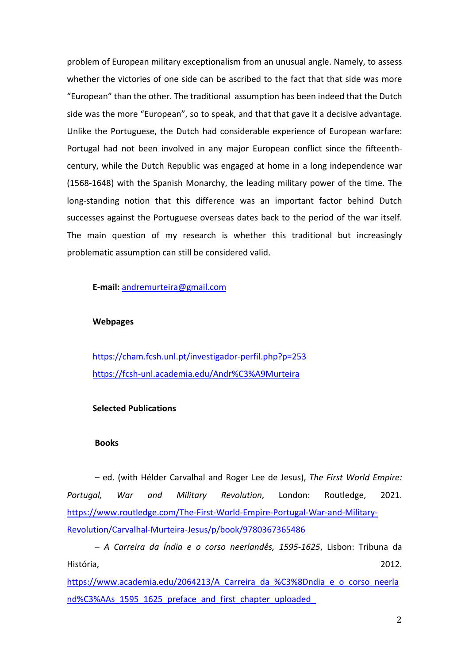problem of European military exceptionalism from an unusual angle. Namely, to assess whether the victories of one side can be ascribed to the fact that that side was more "European" than the other. The traditional assumption has been indeed that the Dutch side was the more "European", so to speak, and that that gave it a decisive advantage. Unlike the Portuguese, the Dutch had considerable experience of European warfare: Portugal had not been involved in any major European conflict since the fifteenthcentury, while the Dutch Republic was engaged at home in a long independence war (1568-1648) with the Spanish Monarchy, the leading military power of the time. The long-standing notion that this difference was an important factor behind Dutch successes against the Portuguese overseas dates back to the period of the war itself. The main question of my research is whether this traditional but increasingly problematic assumption can still be considered valid.

**E-mail:** andremurteira@gmail.com

### **Webpages**

 https://cham.fcsh.unl.pt/investigador-perfil.php?p=253 https://fcsh-unl.academia.edu/Andr%C3%A9Murteira

## **Selected Publications**

#### **Books**

– ed. (with Hélder Carvalhal and Roger Lee de Jesus), *The First World Empire: Portugal, War and Military Revolution*, London: Routledge, 2021. https://www.routledge.com/The-First-World-Empire-Portugal-War-and-Military-Revolution/Carvalhal-Murteira-Jesus/p/book/9780367365486

– *A Carreira da Índia e o corso neerlandês, 1595-1625*, Lisbon: Tribuna da História, 2012.

https://www.academia.edu/2064213/A Carreira da %C3%8Dndia e o corso neerla nd%C3%AAs\_1595\_1625\_preface\_and\_first\_chapter\_uploaded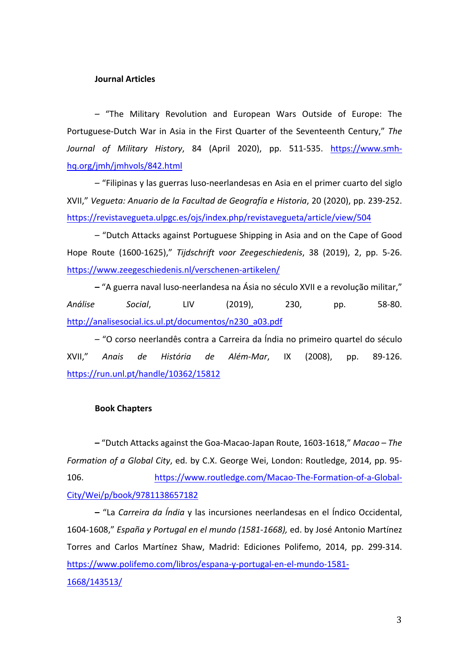#### **Journal Articles**

– "The Military Revolution and European Wars Outside of Europe: The Portuguese-Dutch War in Asia in the First Quarter of the Seventeenth Century," *The Journal of Military History*, 84 (April 2020), pp. 511-535. https://www.smhhq.org/jmh/jmhvols/842.html

– "Filipinas y las guerras luso-neerlandesas en Asia en el primer cuarto del siglo XVII," *Vegueta: Anuario de la Facultad de Geografía e Historia*, 20 (2020), pp. 239-252. https://revistavegueta.ulpgc.es/ojs/index.php/revistavegueta/article/view/504

– "Dutch Attacks against Portuguese Shipping in Asia and on the Cape of Good Hope Route (1600-1625)," *Tijdschrift voor Zeegeschiedenis*, 38 (2019), 2, pp. 5-26. https://www.zeegeschiedenis.nl/verschenen-artikelen/

**–** "A guerra naval luso-neerlandesa na Ásia no século XVII e a revolução militar," *Análise Social*, LIV (2019), 230, pp. 58-80. http://analisesocial.ics.ul.pt/documentos/n230\_a03.pdf

– "O corso neerlandês contra a Carreira da Índia no primeiro quartel do século XVII," *Anais de História de Além-Mar*, IX (2008), pp. 89-126. https://run.unl.pt/handle/10362/15812

#### **Book Chapters**

**–** "Dutch Attacks against the Goa-Macao-Japan Route, 1603-1618," *Macao – The Formation of a Global City*, ed. by C.X. George Wei, London: Routledge, 2014, pp. 95- 106. https://www.routledge.com/Macao-The-Formation-of-a-Global-City/Wei/p/book/9781138657182

**–** "La *Carreira da Índia* y las incursiones neerlandesas en el Índico Occidental, 1604-1608," *España y Portugal en el mundo (1581-1668),* ed. by José Antonio Martínez Torres and Carlos Martínez Shaw, Madrid: Ediciones Polifemo, 2014, pp. 299-314. https://www.polifemo.com/libros/espana-y-portugal-en-el-mundo-1581- 1668/143513/